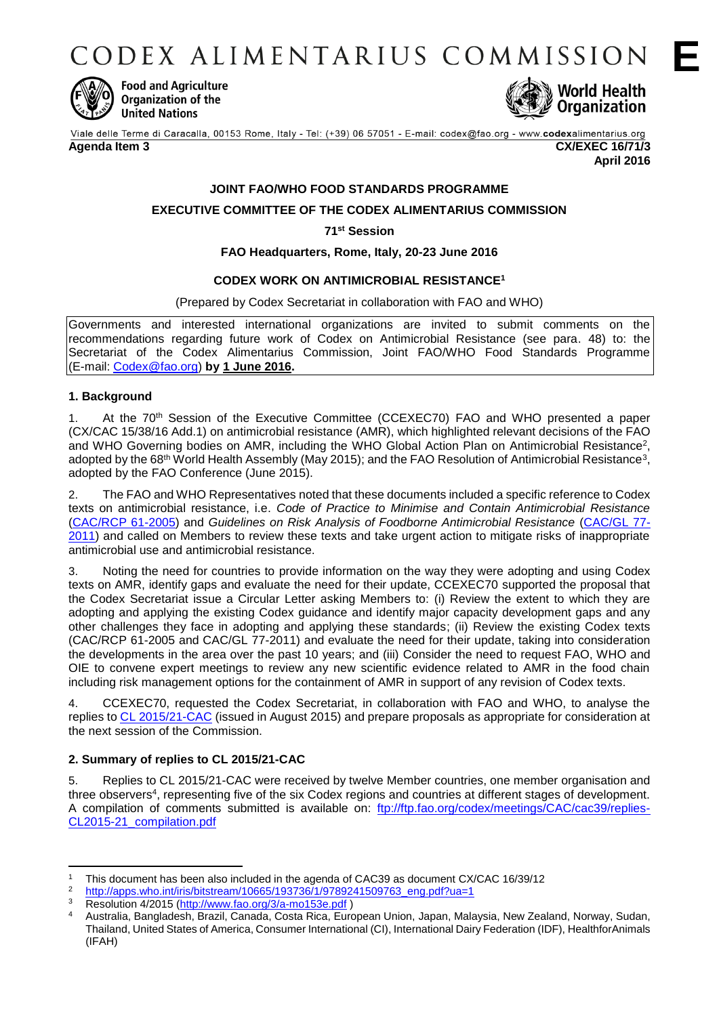CODEX ALIMENTARIUS COMMISSION



**Food and Agriculture** Organization of the **United Nations** 



Viale delle Terme di Caracalla, 00153 Rome, Italy - Tel: (+39) 06 57051 - E-mail: codex@fao.org - www.codexalimentarius.org

#### **Agenda Item 3 CX/EXEC 16/71/3**

**April 2016**

# **JOINT FAO/WHO FOOD STANDARDS PROGRAMME**

# **EXECUTIVE COMMITTEE OF THE CODEX ALIMENTARIUS COMMISSION**

### **71st Session**

# **FAO Headquarters, Rome, Italy, 20-23 June 2016**

# **CODEX WORK ON ANTIMICROBIAL RESISTANCE<sup>1</sup>**

#### (Prepared by Codex Secretariat in collaboration with FAO and WHO)

Governments and interested international organizations are invited to submit comments on the recommendations regarding future work of Codex on Antimicrobial Resistance (see para. 48) to: the Secretariat of the Codex Alimentarius Commission, Joint FAO/WHO Food Standards Programme (E-mail: [Codex@fao.org\)](mailto:Codex@fao.org) **by 1 June 2016.**

#### **1. Background**

1. At the 70<sup>th</sup> Session of the Executive Committee (CCEXEC70) FAO and WHO presented a paper (CX/CAC 15/38/16 Add.1) on antimicrobial resistance (AMR), which highlighted relevant decisions of the FAO and WHO Governing bodies on AMR, including the WHO Global Action Plan on Antimicrobial Resistance<sup>2</sup>, adopted by the 68<sup>th</sup> World Health Assembly (May 2015); and the FAO Resolution of Antimicrobial Resistance<sup>3</sup>, adopted by the FAO Conference (June 2015).

2. The FAO and WHO Representatives noted that these documents included a specific reference to Codex texts on antimicrobial resistance, i.e. *Code of Practice to Minimise and Contain Antimicrobial Resistance* [\(CAC/RCP 61-2005\)](http://www.fao.org/fao-who-codexalimentarius/download/standards/10213/CXP_061e.pdf) and *Guidelines on Risk Analysis of Foodborne Antimicrobial Resistance* [\(CAC/GL 77-](http://www.fao.org/fao-who-codexalimentarius/download/standards/11776/CXG_077e.pdf) [2011\)](http://www.fao.org/fao-who-codexalimentarius/download/standards/11776/CXG_077e.pdf) and called on Members to review these texts and take urgent action to mitigate risks of inappropriate antimicrobial use and antimicrobial resistance.

3. Noting the need for countries to provide information on the way they were adopting and using Codex texts on AMR, identify gaps and evaluate the need for their update, CCEXEC70 supported the proposal that the Codex Secretariat issue a Circular Letter asking Members to: (i) Review the extent to which they are adopting and applying the existing Codex guidance and identify major capacity development gaps and any other challenges they face in adopting and applying these standards; (ii) Review the existing Codex texts (CAC/RCP 61-2005 and CAC/GL 77-2011) and evaluate the need for their update, taking into consideration the developments in the area over the past 10 years; and (iii) Consider the need to request FAO, WHO and OIE to convene expert meetings to review any new scientific evidence related to AMR in the food chain including risk management options for the containment of AMR in support of any revision of Codex texts.

4. CCEXEC70, requested the Codex Secretariat, in collaboration with FAO and WHO, to analyse the replies t[o CL 2015/21-CAC](http://www.fao.org/fao-who-codexalimentarius/sh-proxy/en/?lnk=1&url=https%253A%252F%252Fworkspace.fao.org%252Fsites%252Fcodex%252FCircular%252520Letters%252FCL%2525202015-21%252Fcl15_21e.pdf) (issued in August 2015) and prepare proposals as appropriate for consideration at the next session of the Commission.

### **2. Summary of replies to CL 2015/21-CAC**

5. Replies to CL 2015/21-CAC were received by twelve Member countries, one member organisation and three observers<sup>4</sup> , representing five of the six Codex regions and countries at different stages of development. A compilation of comments submitted is available on: [ftp://ftp.fao.org/codex/meetings/CAC/cac39/replies-](ftp://ftp.fao.org/codex/meetings/CAC/cac39/replies-CL2015-21_compilation.pdf)[CL2015-21\\_compilation.pdf](ftp://ftp.fao.org/codex/meetings/CAC/cac39/replies-CL2015-21_compilation.pdf)

<sup>1</sup> <sup>1</sup> This document has been also included in the agenda of CAC39 as document CX/CAC 16/39/12

<sup>&</sup>lt;sup>2</sup> [http://apps.who.int/iris/bitstream/10665/193736/1/9789241509763\\_eng.pdf?ua=1](http://apps.who.int/iris/bitstream/10665/193736/1/9789241509763_eng.pdf?ua=1)<br><sup>3</sup> Becolution 4/2015 (http://www.foe.org/2/2.mo153e.pdf.)

Resolution 4/2015 [\(http://www.fao.org/3/a-mo153e.pdf](http://www.fao.org/3/a-mo153e.pdf))

<sup>4</sup> Australia, Bangladesh, Brazil, Canada, Costa Rica, European Union, Japan, Malaysia, New Zealand, Norway, Sudan, Thailand, United States of America, Consumer International (CI), International Dairy Federation (IDF), HealthforAnimals (IFAH)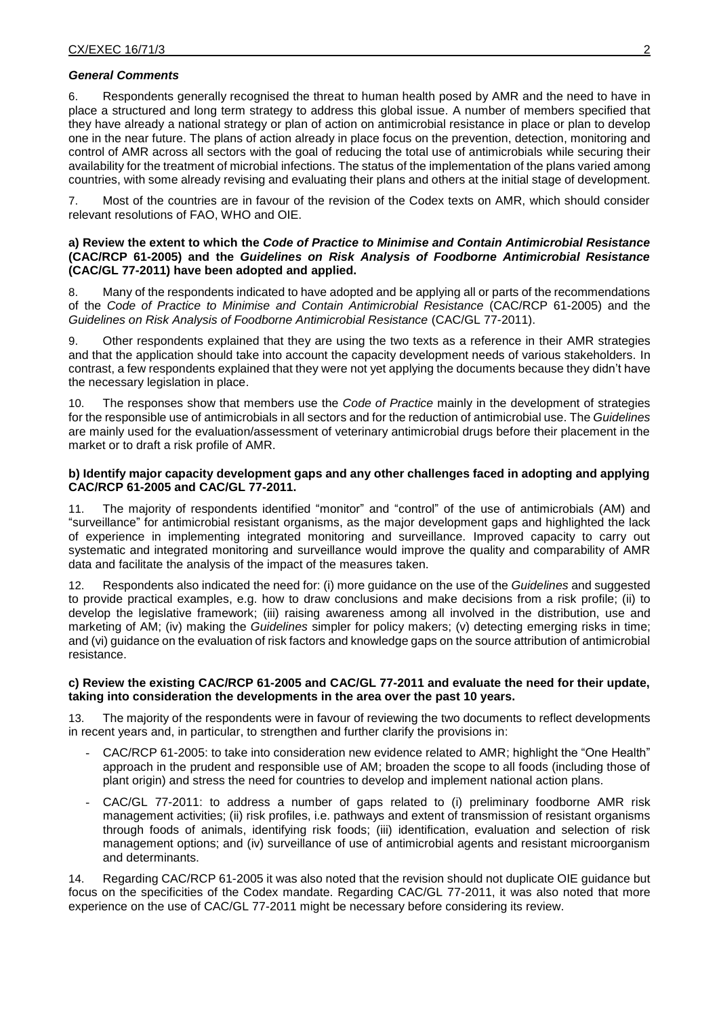#### *General Comments*

6. Respondents generally recognised the threat to human health posed by AMR and the need to have in place a structured and long term strategy to address this global issue. A number of members specified that they have already a national strategy or plan of action on antimicrobial resistance in place or plan to develop one in the near future. The plans of action already in place focus on the prevention, detection, monitoring and control of AMR across all sectors with the goal of reducing the total use of antimicrobials while securing their availability for the treatment of microbial infections. The status of the implementation of the plans varied among countries, with some already revising and evaluating their plans and others at the initial stage of development.

7. Most of the countries are in favour of the revision of the Codex texts on AMR, which should consider relevant resolutions of FAO, WHO and OIE.

#### **a) Review the extent to which the** *Code of Practice to Minimise and Contain Antimicrobial Resistance*  **(CAC/RCP 61-2005) and the** *Guidelines on Risk Analysis of Foodborne Antimicrobial Resistance*  **(CAC/GL 77-2011) have been adopted and applied.**

8. Many of the respondents indicated to have adopted and be applying all or parts of the recommendations of the *Code of Practice to Minimise and Contain Antimicrobial Resistance* (CAC/RCP 61-2005) and the *Guidelines on Risk Analysis of Foodborne Antimicrobial Resistance* (CAC/GL 77-2011).

9. Other respondents explained that they are using the two texts as a reference in their AMR strategies and that the application should take into account the capacity development needs of various stakeholders. In contrast, a few respondents explained that they were not yet applying the documents because they didn't have the necessary legislation in place.

10. The responses show that members use the *Code of Practice* mainly in the development of strategies for the responsible use of antimicrobials in all sectors and for the reduction of antimicrobial use. The *Guidelines* are mainly used for the evaluation/assessment of veterinary antimicrobial drugs before their placement in the market or to draft a risk profile of AMR.

#### **b) Identify major capacity development gaps and any other challenges faced in adopting and applying CAC/RCP 61-2005 and CAC/GL 77-2011.**

11. The majority of respondents identified "monitor" and "control" of the use of antimicrobials (AM) and "surveillance" for antimicrobial resistant organisms, as the major development gaps and highlighted the lack of experience in implementing integrated monitoring and surveillance. Improved capacity to carry out systematic and integrated monitoring and surveillance would improve the quality and comparability of AMR data and facilitate the analysis of the impact of the measures taken.

12. Respondents also indicated the need for: (i) more guidance on the use of the *Guidelines* and suggested to provide practical examples, e.g. how to draw conclusions and make decisions from a risk profile; (ii) to develop the legislative framework; (iii) raising awareness among all involved in the distribution, use and marketing of AM; (iv) making the *Guidelines* simpler for policy makers; (v) detecting emerging risks in time; and (vi) guidance on the evaluation of risk factors and knowledge gaps on the source attribution of antimicrobial resistance.

#### **c) Review the existing CAC/RCP 61-2005 and CAC/GL 77-2011 and evaluate the need for their update, taking into consideration the developments in the area over the past 10 years.**

13. The majority of the respondents were in favour of reviewing the two documents to reflect developments in recent years and, in particular, to strengthen and further clarify the provisions in:

- CAC/RCP 61-2005: to take into consideration new evidence related to AMR; highlight the "One Health" approach in the prudent and responsible use of AM; broaden the scope to all foods (including those of plant origin) and stress the need for countries to develop and implement national action plans.
- CAC/GL 77-2011: to address a number of gaps related to (i) preliminary foodborne AMR risk management activities; (ii) risk profiles, i.e. pathways and extent of transmission of resistant organisms through foods of animals, identifying risk foods; (iii) identification, evaluation and selection of risk management options; and (iv) surveillance of use of antimicrobial agents and resistant microorganism and determinants.

14. Regarding CAC/RCP 61-2005 it was also noted that the revision should not duplicate OIE guidance but focus on the specificities of the Codex mandate. Regarding CAC/GL 77-2011, it was also noted that more experience on the use of CAC/GL 77-2011 might be necessary before considering its review.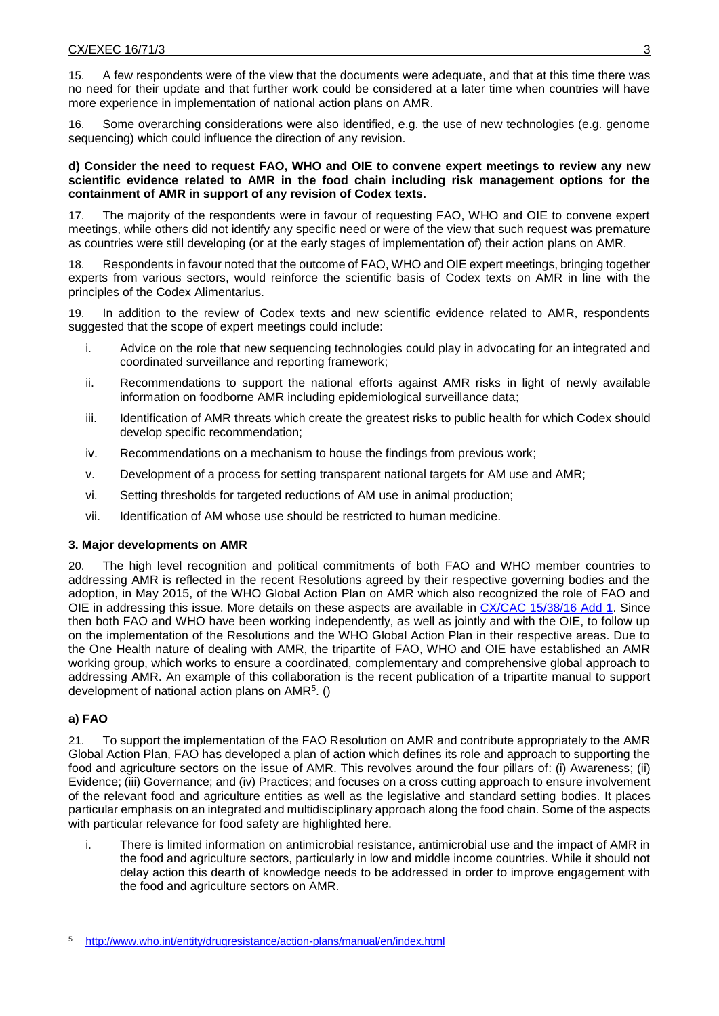15. A few respondents were of the view that the documents were adequate, and that at this time there was no need for their update and that further work could be considered at a later time when countries will have more experience in implementation of national action plans on AMR.

16. Some overarching considerations were also identified, e.g. the use of new technologies (e.g. genome sequencing) which could influence the direction of any revision.

#### **d) Consider the need to request FAO, WHO and OIE to convene expert meetings to review any new scientific evidence related to AMR in the food chain including risk management options for the containment of AMR in support of any revision of Codex texts.**

The majority of the respondents were in favour of requesting FAO, WHO and OIE to convene expert meetings, while others did not identify any specific need or were of the view that such request was premature as countries were still developing (or at the early stages of implementation of) their action plans on AMR.

18. Respondents in favour noted that the outcome of FAO, WHO and OIE expert meetings, bringing together experts from various sectors, would reinforce the scientific basis of Codex texts on AMR in line with the principles of the Codex Alimentarius.

19. In addition to the review of Codex texts and new scientific evidence related to AMR, respondents suggested that the scope of expert meetings could include:

- i. Advice on the role that new sequencing technologies could play in advocating for an integrated and coordinated surveillance and reporting framework;
- ii. Recommendations to support the national efforts against AMR risks in light of newly available information on foodborne AMR including epidemiological surveillance data;
- iii. Identification of AMR threats which create the greatest risks to public health for which Codex should develop specific recommendation;
- iv. Recommendations on a mechanism to house the findings from previous work;
- v. Development of a process for setting transparent national targets for AM use and AMR;
- vi. Setting thresholds for targeted reductions of AM use in animal production;
- vii. Identification of AM whose use should be restricted to human medicine.

### **3. Major developments on AMR**

20. The high level recognition and political commitments of both FAO and WHO member countries to addressing AMR is reflected in the recent Resolutions agreed by their respective governing bodies and the adoption, in May 2015, of the WHO Global Action Plan on AMR which also recognized the role of FAO and OIE in addressing this issue. More details on these aspects are available in CX/CAC [15/38/16 Add 1.](ftp://ftp.fao.org/Codex/meetings/CAC/cac38/cac38_16_add1E.pdf) Since then both FAO and WHO have been working independently, as well as jointly and with the OIE, to follow up on the implementation of the Resolutions and the WHO Global Action Plan in their respective areas. Due to the One Health nature of dealing with AMR, the tripartite of FAO, WHO and OIE have established an AMR working group, which works to ensure a coordinated, complementary and comprehensive global approach to addressing AMR. An example of this collaboration is the recent publication of a tripartite manual to support development of national action plans on AMR<sup>5</sup>. ()

# **a) FAO**

21. To support the implementation of the FAO Resolution on AMR and contribute appropriately to the AMR Global Action Plan, FAO has developed a plan of action which defines its role and approach to supporting the food and agriculture sectors on the issue of AMR. This revolves around the four pillars of: (i) Awareness; (ii) Evidence; (iii) Governance; and (iv) Practices; and focuses on a cross cutting approach to ensure involvement of the relevant food and agriculture entities as well as the legislative and standard setting bodies. It places particular emphasis on an integrated and multidisciplinary approach along the food chain. Some of the aspects with particular relevance for food safety are highlighted here.

i. There is limited information on antimicrobial resistance, antimicrobial use and the impact of AMR in the food and agriculture sectors, particularly in low and middle income countries. While it should not delay action this dearth of knowledge needs to be addressed in order to improve engagement with the food and agriculture sectors on AMR.

<sup>-</sup><sup>5</sup> <http://www.who.int/entity/drugresistance/action-plans/manual/en/index.html>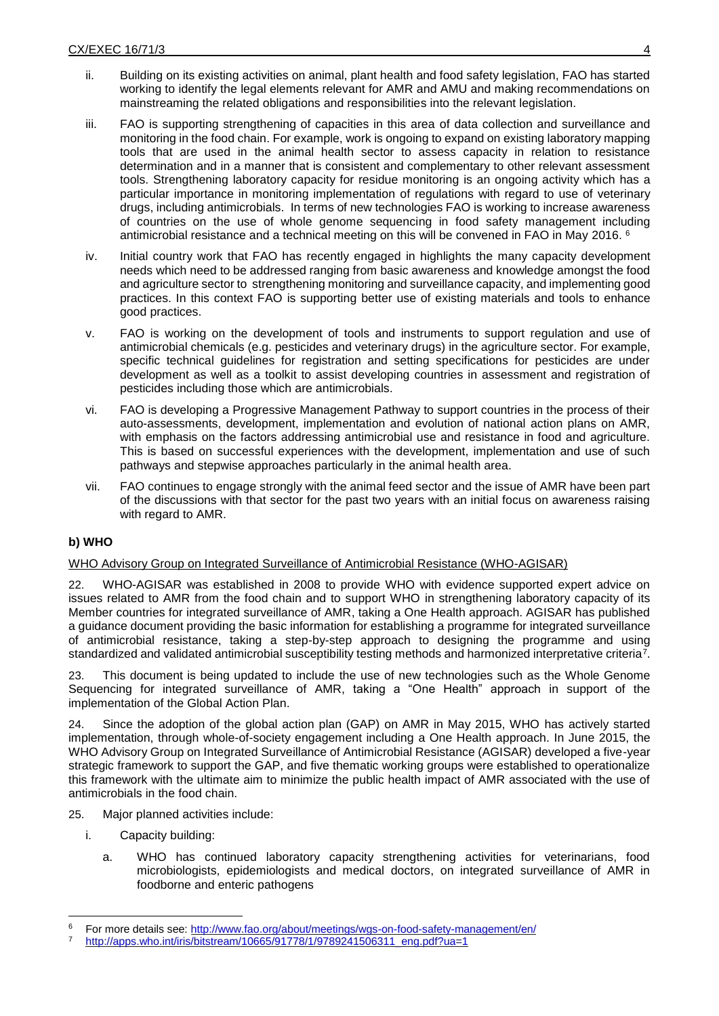- ii. Building on its existing activities on animal, plant health and food safety legislation, FAO has started working to identify the legal elements relevant for AMR and AMU and making recommendations on mainstreaming the related obligations and responsibilities into the relevant legislation.
- iii. FAO is supporting strengthening of capacities in this area of data collection and surveillance and monitoring in the food chain. For example, work is ongoing to expand on existing laboratory mapping tools that are used in the animal health sector to assess capacity in relation to resistance determination and in a manner that is consistent and complementary to other relevant assessment tools. Strengthening laboratory capacity for residue monitoring is an ongoing activity which has a particular importance in monitoring implementation of regulations with regard to use of veterinary drugs, including antimicrobials. In terms of new technologies FAO is working to increase awareness of countries on the use of whole genome sequencing in food safety management including antimicrobial resistance and a technical meeting on this will be convened in FAO in May 2016.  $6$
- iv. Initial country work that FAO has recently engaged in highlights the many capacity development needs which need to be addressed ranging from basic awareness and knowledge amongst the food and agriculture sector to strengthening monitoring and surveillance capacity, and implementing good practices. In this context FAO is supporting better use of existing materials and tools to enhance good practices.
- v. FAO is working on the development of tools and instruments to support regulation and use of antimicrobial chemicals (e.g. pesticides and veterinary drugs) in the agriculture sector. For example, specific technical guidelines for registration and setting specifications for pesticides are under development as well as a toolkit to assist developing countries in assessment and registration of pesticides including those which are antimicrobials.
- vi. FAO is developing a Progressive Management Pathway to support countries in the process of their auto-assessments, development, implementation and evolution of national action plans on AMR, with emphasis on the factors addressing antimicrobial use and resistance in food and agriculture. This is based on successful experiences with the development, implementation and use of such pathways and stepwise approaches particularly in the animal health area.
- vii. FAO continues to engage strongly with the animal feed sector and the issue of AMR have been part of the discussions with that sector for the past two years with an initial focus on awareness raising with regard to AMR.

### **b) WHO**

### WHO Advisory Group on Integrated Surveillance of Antimicrobial Resistance (WHO-AGISAR)

22. WHO-AGISAR was established in 2008 to provide WHO with evidence supported expert advice on issues related to AMR from the food chain and to support WHO in strengthening laboratory capacity of its Member countries for integrated surveillance of AMR, taking a One Health approach. AGISAR has published a guidance document providing the basic information for establishing a programme for integrated surveillance of antimicrobial resistance, taking a step-by-step approach to designing the programme and using standardized and validated antimicrobial susceptibility testing methods and harmonized interpretative criteria<sup>7</sup>.

23. This document is being updated to include the use of new technologies such as the Whole Genome Sequencing for integrated surveillance of AMR, taking a "One Health" approach in support of the implementation of the Global Action Plan.

24. Since the adoption of the global action plan (GAP) on AMR in May 2015, WHO has actively started implementation, through whole-of-society engagement including a One Health approach. In June 2015, the WHO Advisory Group on Integrated Surveillance of Antimicrobial Resistance (AGISAR) developed a five-year strategic framework to support the GAP, and five thematic working groups were established to operationalize this framework with the ultimate aim to minimize the public health impact of AMR associated with the use of antimicrobials in the food chain.

- 25. Major planned activities include:
	- i. Capacity building:

-

a. WHO has continued laboratory capacity strengthening activities for veterinarians, food microbiologists, epidemiologists and medical doctors, on integrated surveillance of AMR in foodborne and enteric pathogens

<sup>6</sup> For more details see:<http://www.fao.org/about/meetings/wgs-on-food-safety-management/en/>

[http://apps.who.int/iris/bitstream/10665/91778/1/9789241506311\\_eng.pdf?ua=1](http://apps.who.int/iris/bitstream/10665/91778/1/9789241506311_eng.pdf?ua=1)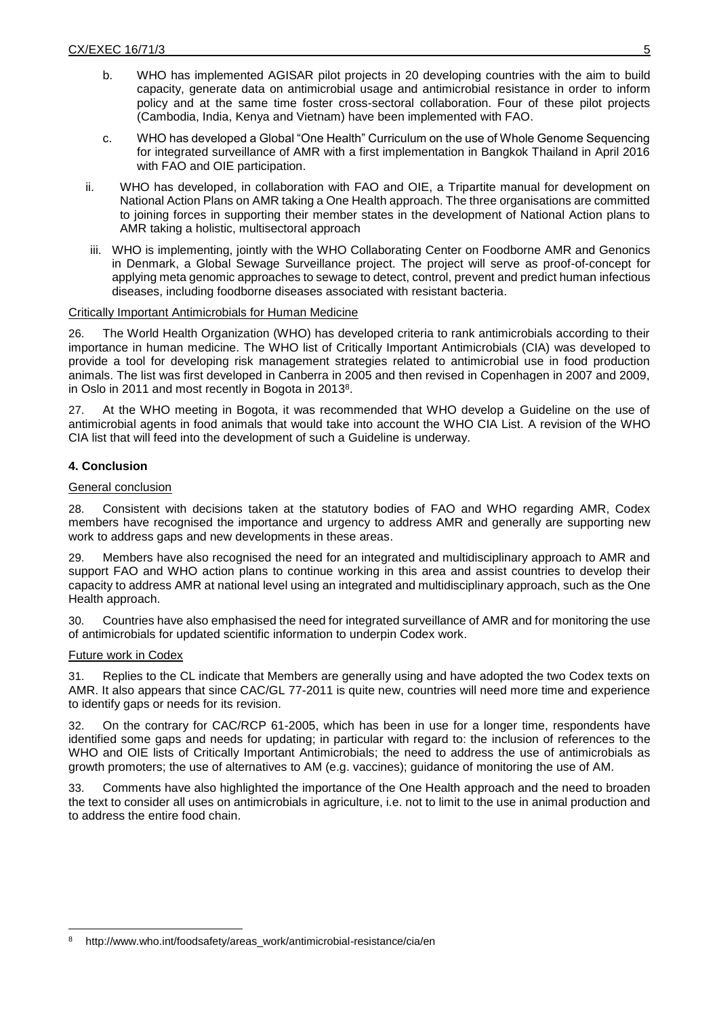- b. WHO has implemented AGISAR pilot projects in 20 developing countries with the aim to build capacity, generate data on antimicrobial usage and antimicrobial resistance in order to inform policy and at the same time foster cross-sectoral collaboration. Four of these pilot projects (Cambodia, India, Kenya and Vietnam) have been implemented with FAO.
- c. WHO has developed a Global "One Health" Curriculum on the use of Whole Genome Sequencing for integrated surveillance of AMR with a first implementation in Bangkok Thailand in April 2016 with FAO and OIE participation.
- ii. WHO has developed, in collaboration with FAO and OIE, a Tripartite manual for development on National Action Plans on AMR taking a One Health approach. The three organisations are committed to joining forces in supporting their member states in the development of National Action plans to AMR taking a holistic, multisectoral approach
- iii. WHO is implementing, jointly with the WHO Collaborating Center on Foodborne AMR and Genonics in Denmark, a Global Sewage Surveillance project. The project will serve as proof-of-concept for applying meta genomic approaches to sewage to detect, control, prevent and predict human infectious diseases, including foodborne diseases associated with resistant bacteria.

# Critically Important Antimicrobials for Human Medicine

26. The World Health Organization (WHO) has developed criteria to rank antimicrobials according to their importance in human medicine. The WHO list of Critically Important Antimicrobials (CIA) was developed to provide a tool for developing risk management strategies related to antimicrobial use in food production animals. The list was first developed in Canberra in 2005 and then revised in Copenhagen in 2007 and 2009, in Oslo in 2011 and most recently in Bogota in 2013<sup>8</sup>.

27. At the WHO meeting in Bogota, it was recommended that WHO develop a Guideline on the use of antimicrobial agents in food animals that would take into account the WHO CIA List. A revision of the WHO CIA list that will feed into the development of such a Guideline is underway.

# **4. Conclusion**

### General conclusion

28. Consistent with decisions taken at the statutory bodies of FAO and WHO regarding AMR, Codex members have recognised the importance and urgency to address AMR and generally are supporting new work to address gaps and new developments in these areas.

29. Members have also recognised the need for an integrated and multidisciplinary approach to AMR and support FAO and WHO action plans to continue working in this area and assist countries to develop their capacity to address AMR at national level using an integrated and multidisciplinary approach, such as the One Health approach.

30. Countries have also emphasised the need for integrated surveillance of AMR and for monitoring the use of antimicrobials for updated scientific information to underpin Codex work.

### Future work in Codex

-

31. Replies to the CL indicate that Members are generally using and have adopted the two Codex texts on AMR. It also appears that since CAC/GL 77-2011 is quite new, countries will need more time and experience to identify gaps or needs for its revision.

32. On the contrary for CAC/RCP 61-2005, which has been in use for a longer time, respondents have identified some gaps and needs for updating; in particular with regard to: the inclusion of references to the WHO and OIE lists of Critically Important Antimicrobials; the need to address the use of antimicrobials as growth promoters; the use of alternatives to AM (e.g. vaccines); guidance of monitoring the use of AM.

33. Comments have also highlighted the importance of the One Health approach and the need to broaden the text to consider all uses on antimicrobials in agriculture, i.e. not to limit to the use in animal production and to address the entire food chain.

http://www.who.int/foodsafety/areas\_work/antimicrobial-resistance/cia/en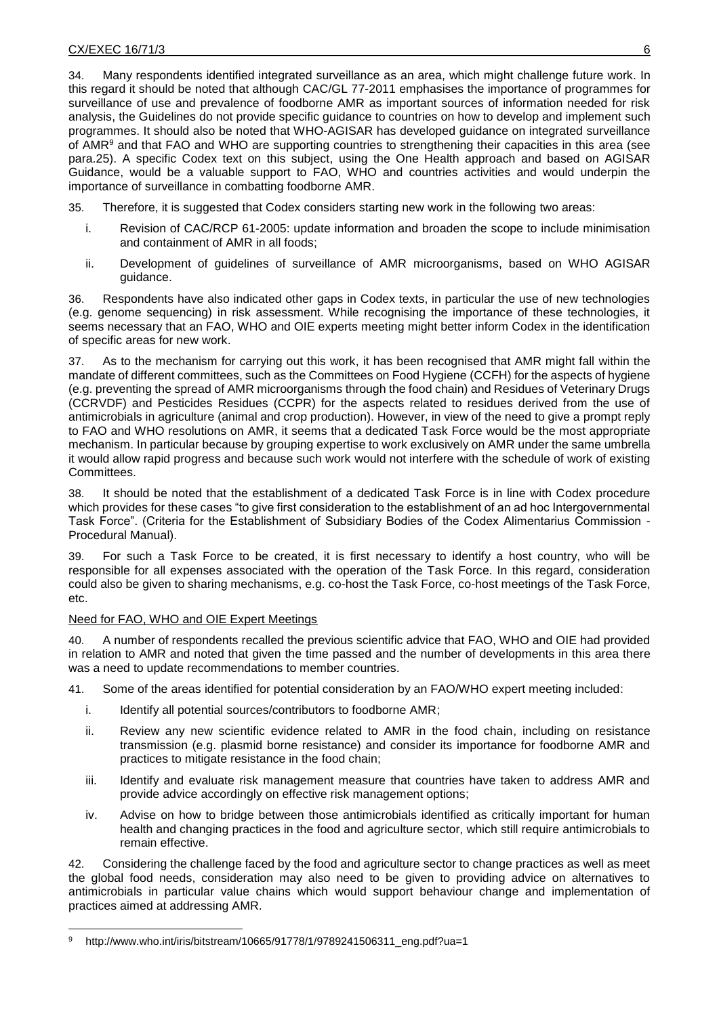34. Many respondents identified integrated surveillance as an area, which might challenge future work. In this regard it should be noted that although CAC/GL 77-2011 emphasises the importance of programmes for surveillance of use and prevalence of foodborne AMR as important sources of information needed for risk analysis, the Guidelines do not provide specific guidance to countries on how to develop and implement such programmes. It should also be noted that WHO-AGISAR has developed guidance on integrated surveillance of AMR<sup>9</sup> and that FAO and WHO are supporting countries to strengthening their capacities in this area (see para.25). A specific Codex text on this subject, using the One Health approach and based on AGISAR Guidance, would be a valuable support to FAO, WHO and countries activities and would underpin the importance of surveillance in combatting foodborne AMR.

- 35. Therefore, it is suggested that Codex considers starting new work in the following two areas:
	- i. Revision of CAC/RCP 61-2005: update information and broaden the scope to include minimisation and containment of AMR in all foods;
	- ii. Development of guidelines of surveillance of AMR microorganisms, based on WHO AGISAR guidance.

36. Respondents have also indicated other gaps in Codex texts, in particular the use of new technologies (e.g. genome sequencing) in risk assessment. While recognising the importance of these technologies, it seems necessary that an FAO, WHO and OIE experts meeting might better inform Codex in the identification of specific areas for new work.

37. As to the mechanism for carrying out this work, it has been recognised that AMR might fall within the mandate of different committees, such as the Committees on Food Hygiene (CCFH) for the aspects of hygiene (e.g. preventing the spread of AMR microorganisms through the food chain) and Residues of Veterinary Drugs (CCRVDF) and Pesticides Residues (CCPR) for the aspects related to residues derived from the use of antimicrobials in agriculture (animal and crop production). However, in view of the need to give a prompt reply to FAO and WHO resolutions on AMR, it seems that a dedicated Task Force would be the most appropriate mechanism. In particular because by grouping expertise to work exclusively on AMR under the same umbrella it would allow rapid progress and because such work would not interfere with the schedule of work of existing Committees.

38. It should be noted that the establishment of a dedicated Task Force is in line with Codex procedure which provides for these cases "to give first consideration to the establishment of an ad hoc Intergovernmental Task Force". (Criteria for the Establishment of Subsidiary Bodies of the Codex Alimentarius Commission - Procedural Manual).

39. For such a Task Force to be created, it is first necessary to identify a host country, who will be responsible for all expenses associated with the operation of the Task Force. In this regard, consideration could also be given to sharing mechanisms, e.g. co-host the Task Force, co-host meetings of the Task Force, etc.

### Need for FAO, WHO and OIE Expert Meetings

-

A number of respondents recalled the previous scientific advice that FAO, WHO and OIE had provided in relation to AMR and noted that given the time passed and the number of developments in this area there was a need to update recommendations to member countries.

41. Some of the areas identified for potential consideration by an FAO/WHO expert meeting included:

- i. Identify all potential sources/contributors to foodborne AMR;
- ii. Review any new scientific evidence related to AMR in the food chain, including on resistance transmission (e.g. plasmid borne resistance) and consider its importance for foodborne AMR and practices to mitigate resistance in the food chain;
- iii. Identify and evaluate risk management measure that countries have taken to address AMR and provide advice accordingly on effective risk management options;
- iv. Advise on how to bridge between those antimicrobials identified as critically important for human health and changing practices in the food and agriculture sector, which still require antimicrobials to remain effective.

42. Considering the challenge faced by the food and agriculture sector to change practices as well as meet the global food needs, consideration may also need to be given to providing advice on alternatives to antimicrobials in particular value chains which would support behaviour change and implementation of practices aimed at addressing AMR.

http://www.who.int/iris/bitstream/10665/91778/1/9789241506311\_eng.pdf?ua=1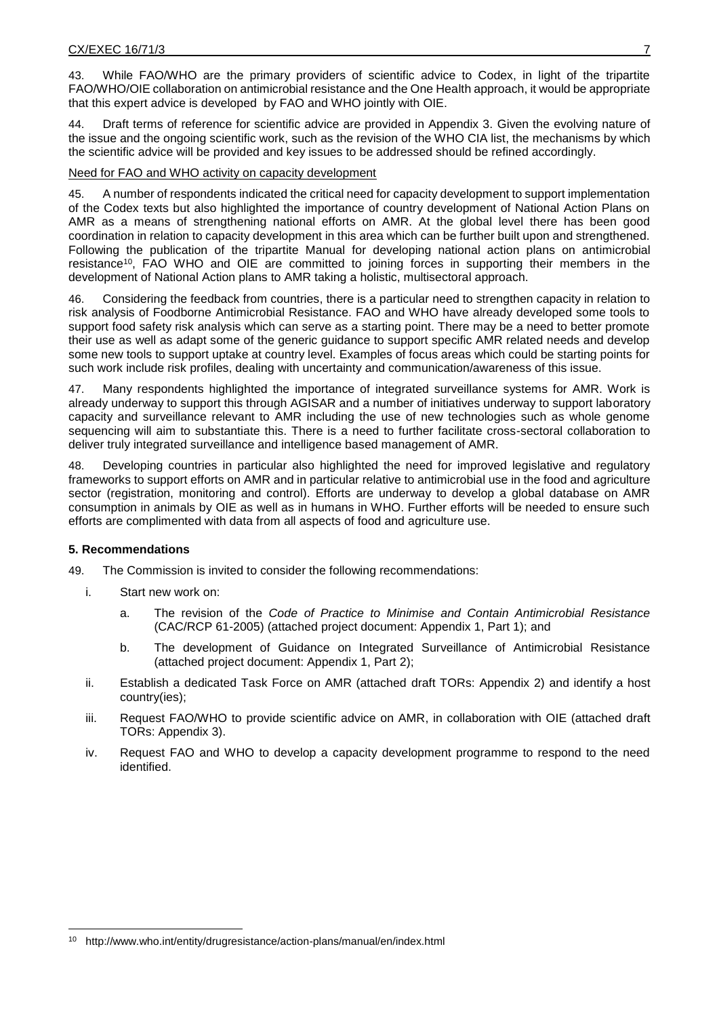43. While FAO/WHO are the primary providers of scientific advice to Codex, in light of the tripartite FAO/WHO/OIE collaboration on antimicrobial resistance and the One Health approach, it would be appropriate that this expert advice is developed by FAO and WHO jointly with OIE.

44. Draft terms of reference for scientific advice are provided in Appendix 3. Given the evolving nature of the issue and the ongoing scientific work, such as the revision of the WHO CIA list, the mechanisms by which the scientific advice will be provided and key issues to be addressed should be refined accordingly.

#### Need for FAO and WHO activity on capacity development

45. A number of respondents indicated the critical need for capacity development to support implementation of the Codex texts but also highlighted the importance of country development of National Action Plans on AMR as a means of strengthening national efforts on AMR. At the global level there has been good coordination in relation to capacity development in this area which can be further built upon and strengthened. Following the publication of the tripartite Manual for developing national action plans on antimicrobial resistance<sup>10</sup>, FAO WHO and OIE are committed to joining forces in supporting their members in the development of National Action plans to AMR taking a holistic, multisectoral approach.

46. Considering the feedback from countries, there is a particular need to strengthen capacity in relation to risk analysis of Foodborne Antimicrobial Resistance. FAO and WHO have already developed some tools to support food safety risk analysis which can serve as a starting point. There may be a need to better promote their use as well as adapt some of the generic guidance to support specific AMR related needs and develop some new tools to support uptake at country level. Examples of focus areas which could be starting points for such work include risk profiles, dealing with uncertainty and communication/awareness of this issue.

47. Many respondents highlighted the importance of integrated surveillance systems for AMR. Work is already underway to support this through AGISAR and a number of initiatives underway to support laboratory capacity and surveillance relevant to AMR including the use of new technologies such as whole genome sequencing will aim to substantiate this. There is a need to further facilitate cross-sectoral collaboration to deliver truly integrated surveillance and intelligence based management of AMR.

48. Developing countries in particular also highlighted the need for improved legislative and regulatory frameworks to support efforts on AMR and in particular relative to antimicrobial use in the food and agriculture sector (registration, monitoring and control). Efforts are underway to develop a global database on AMR consumption in animals by OIE as well as in humans in WHO. Further efforts will be needed to ensure such efforts are complimented with data from all aspects of food and agriculture use.

### **5. Recommendations**

-

49. The Commission is invited to consider the following recommendations:

- i. Start new work on:
	- a. The revision of the *Code of Practice to Minimise and Contain Antimicrobial Resistance* (CAC/RCP 61-2005) (attached project document: Appendix 1, Part 1); and
	- b. The development of Guidance on Integrated Surveillance of Antimicrobial Resistance (attached project document: Appendix 1, Part 2);
- ii. Establish a dedicated Task Force on AMR (attached draft TORs: Appendix 2) and identify a host country(ies);
- iii. Request FAO/WHO to provide scientific advice on AMR, in collaboration with OIE (attached draft TORs: Appendix 3).
- iv. Request FAO and WHO to develop a capacity development programme to respond to the need identified.

<sup>10</sup> http://www.who.int/entity/drugresistance/action-plans/manual/en/index.html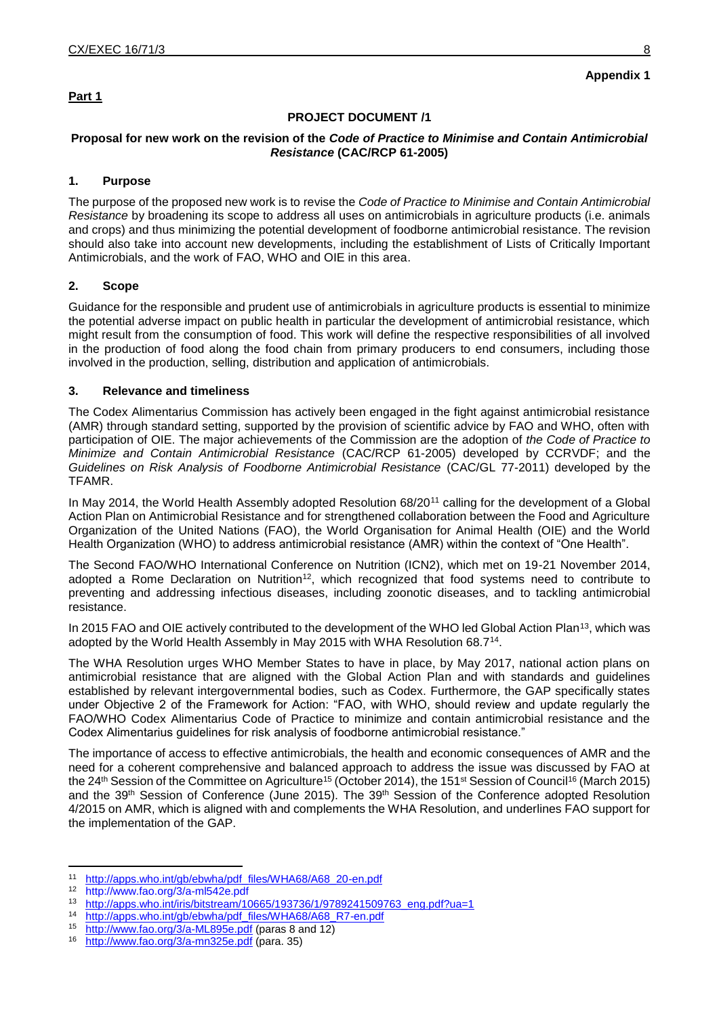# **Part 1**

# **Appendix 1**

### **PROJECT DOCUMENT /1**

#### **Proposal for new work on the revision of the** *Code of Practice to Minimise and Contain Antimicrobial Resistance* **(CAC/RCP 61-2005)**

#### **1. Purpose**

The purpose of the proposed new work is to revise the *Code of Practice to Minimise and Contain Antimicrobial Resistance* by broadening its scope to address all uses on antimicrobials in agriculture products (i.e. animals and crops) and thus minimizing the potential development of foodborne antimicrobial resistance. The revision should also take into account new developments, including the establishment of Lists of Critically Important Antimicrobials, and the work of FAO, WHO and OIE in this area.

### **2. Scope**

Guidance for the responsible and prudent use of antimicrobials in agriculture products is essential to minimize the potential adverse impact on public health in particular the development of antimicrobial resistance, which might result from the consumption of food. This work will define the respective responsibilities of all involved in the production of food along the food chain from primary producers to end consumers, including those involved in the production, selling, distribution and application of antimicrobials.

### **3. Relevance and timeliness**

The Codex Alimentarius Commission has actively been engaged in the fight against antimicrobial resistance (AMR) through standard setting, supported by the provision of scientific advice by FAO and WHO, often with participation of OIE. The major achievements of the Commission are the adoption of *the Code of Practice to Minimize and Contain Antimicrobial Resistance* (CAC/RCP 61-2005) developed by CCRVDF; and the *Guidelines on Risk Analysis of Foodborne Antimicrobial Resistance* (CAC/GL 77-2011) developed by the TFAMR.

In May 2014, the World Health Assembly adopted Resolution 68/20<sup>11</sup> calling for the development of a Global Action Plan on Antimicrobial Resistance and for strengthened collaboration between the Food and Agriculture Organization of the United Nations (FAO), the World Organisation for Animal Health (OIE) and the World Health Organization (WHO) to address antimicrobial resistance (AMR) within the context of "One Health".

The Second FAO/WHO International Conference on Nutrition (ICN2), which met on 19-21 November 2014, adopted a Rome Declaration on Nutrition<sup>12</sup>, which recognized that food systems need to contribute to preventing and addressing infectious diseases, including zoonotic diseases, and to tackling antimicrobial resistance.

In 2015 FAO and OIE actively contributed to the development of the WHO led Global Action Plan<sup>13</sup>, which was adopted by the World Health Assembly in May 2015 with WHA Resolution 68.7<sup>14</sup>.

The WHA Resolution urges WHO Member States to have in place, by May 2017, national action plans on antimicrobial resistance that are aligned with the Global Action Plan and with standards and guidelines established by relevant intergovernmental bodies, such as Codex. Furthermore, the GAP specifically states under Objective 2 of the Framework for Action: "FAO, with WHO, should review and update regularly the FAO/WHO Codex Alimentarius Code of Practice to minimize and contain antimicrobial resistance and the Codex Alimentarius guidelines for risk analysis of foodborne antimicrobial resistance."

The importance of access to effective antimicrobials, the health and economic consequences of AMR and the need for a coherent comprehensive and balanced approach to address the issue was discussed by FAO at the 24<sup>th</sup> Session of the Committee on Agriculture<sup>15</sup> (October 2014), the 151<sup>st</sup> Session of Council<sup>16</sup> (March 2015) and the 39th Session of Conference (June 2015). The 39th Session of the Conference adopted Resolution 4/2015 on AMR, which is aligned with and complements the WHA Resolution, and underlines FAO support for the implementation of the GAP.

1

<sup>11</sup> [http://apps.who.int/gb/ebwha/pdf\\_files/WHA68/A68\\_20-en.pdf](http://apps.who.int/gb/ebwha/pdf_files/WHA68/A68_20-en.pdf)<br>12 http://www.fae.org/2/o.ml542o.pdf

<sup>12</sup> <http://www.fao.org/3/a-ml542e.pdf>

<sup>&</sup>lt;sup>13</sup> [http://apps.who.int/iris/bitstream/10665/193736/1/9789241509763\\_eng.pdf?ua=1](http://apps.who.int/iris/bitstream/10665/193736/1/9789241509763_eng.pdf?ua=1)<br><sup>14</sup> http://apps.who.int/gb/chu/ba/ndf\_file=M/HA68/A68\_B7\_cp.pdf

<sup>&</sup>lt;sup>14</sup> [http://apps.who.int/gb/ebwha/pdf\\_files/WHA68/A68\\_R7-en.pdf](http://apps.who.int/gb/ebwha/pdf_files/WHA68/A68_R7-en.pdf)<br><sup>15</sup> http://www.fao.org/3/a-ML895e.pdf (paras 8 and 12)

<http://www.fao.org/3/a-ML895e.pdf> (paras 8 and 12)

<sup>16</sup> <http://www.fao.org/3/a-mn325e.pdf> (para. 35)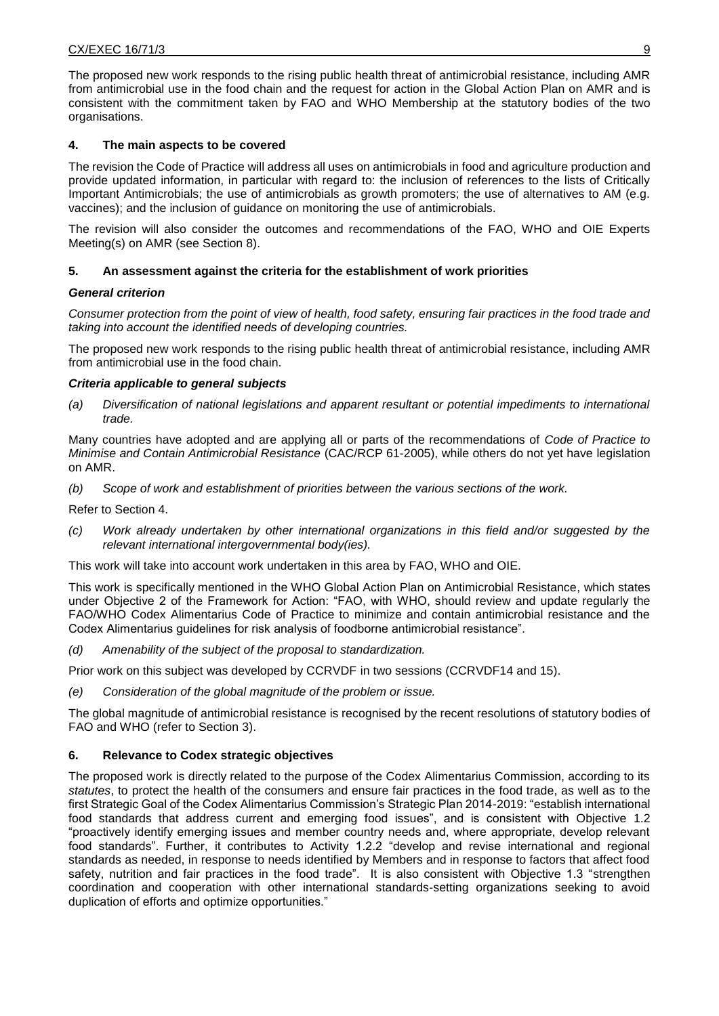The proposed new work responds to the rising public health threat of antimicrobial resistance, including AMR from antimicrobial use in the food chain and the request for action in the Global Action Plan on AMR and is consistent with the commitment taken by FAO and WHO Membership at the statutory bodies of the two organisations.

# **4. The main aspects to be covered**

The revision the Code of Practice will address all uses on antimicrobials in food and agriculture production and provide updated information, in particular with regard to: the inclusion of references to the lists of Critically Important Antimicrobials; the use of antimicrobials as growth promoters; the use of alternatives to AM (e.g. vaccines); and the inclusion of guidance on monitoring the use of antimicrobials.

The revision will also consider the outcomes and recommendations of the FAO, WHO and OIE Experts Meeting(s) on AMR (see Section 8).

### **5. An assessment against the criteria for the establishment of work priorities**

### *General criterion*

*Consumer protection from the point of view of health, food safety, ensuring fair practices in the food trade and taking into account the identified needs of developing countries.*

The proposed new work responds to the rising public health threat of antimicrobial resistance, including AMR from antimicrobial use in the food chain.

#### *Criteria applicable to general subjects*

*(a) Diversification of national legislations and apparent resultant or potential impediments to international trade.*

Many countries have adopted and are applying all or parts of the recommendations of *Code of Practice to Minimise and Contain Antimicrobial Resistance* (CAC/RCP 61-2005), while others do not yet have legislation on AMR.

*(b) Scope of work and establishment of priorities between the various sections of the work.*

Refer to Section 4.

*(c) Work already undertaken by other international organizations in this field and/or suggested by the relevant international intergovernmental body(ies).*

This work will take into account work undertaken in this area by FAO, WHO and OIE.

This work is specifically mentioned in the WHO Global Action Plan on Antimicrobial Resistance, which states under Objective 2 of the Framework for Action: "FAO, with WHO, should review and update regularly the FAO/WHO Codex Alimentarius Code of Practice to minimize and contain antimicrobial resistance and the Codex Alimentarius guidelines for risk analysis of foodborne antimicrobial resistance".

*(d) Amenability of the subject of the proposal to standardization.*

Prior work on this subject was developed by CCRVDF in two sessions (CCRVDF14 and 15).

*(e) Consideration of the global magnitude of the problem or issue.*

The global magnitude of antimicrobial resistance is recognised by the recent resolutions of statutory bodies of FAO and WHO (refer to Section 3).

### **6. Relevance to Codex strategic objectives**

The proposed work is directly related to the purpose of the Codex Alimentarius Commission, according to its *statutes*, to protect the health of the consumers and ensure fair practices in the food trade, as well as to the first Strategic Goal of the Codex Alimentarius Commission's Strategic Plan 2014-2019: "establish international food standards that address current and emerging food issues", and is consistent with Objective 1.2 "proactively identify emerging issues and member country needs and, where appropriate, develop relevant food standards". Further, it contributes to Activity 1.2.2 "develop and revise international and regional standards as needed, in response to needs identified by Members and in response to factors that affect food safety, nutrition and fair practices in the food trade". It is also consistent with Objective 1.3 "strengthen coordination and cooperation with other international standards-setting organizations seeking to avoid duplication of efforts and optimize opportunities."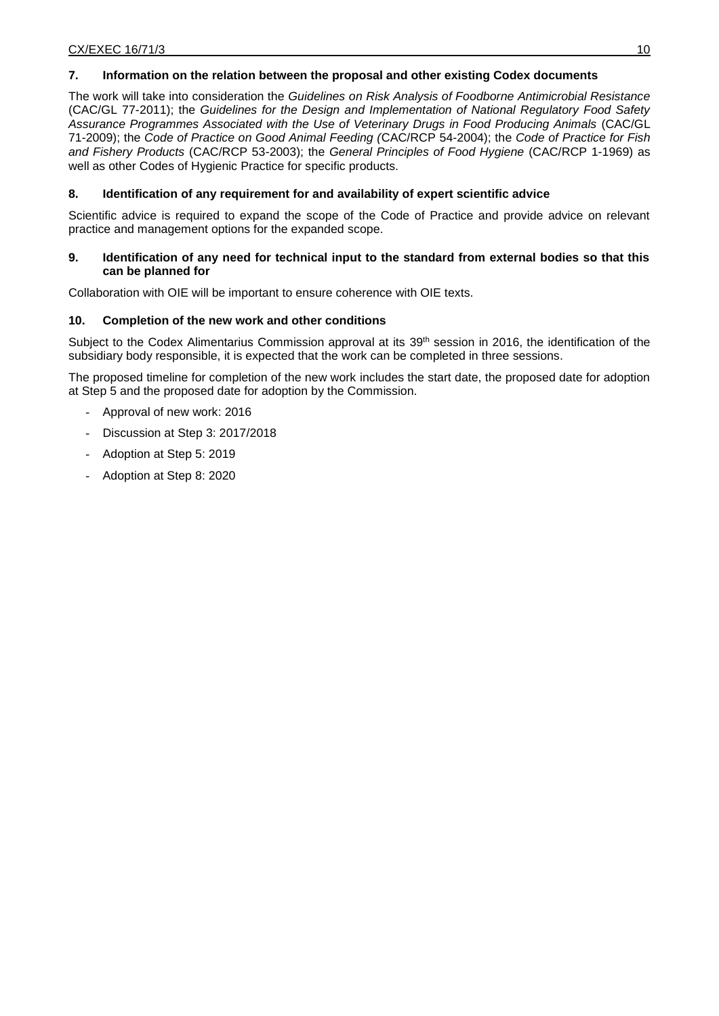# **7. Information on the relation between the proposal and other existing Codex documents**

The work will take into consideration the *Guidelines on Risk Analysis of Foodborne Antimicrobial Resistance* (CAC/GL 77-2011); the *Guidelines for the Design and Implementation of National Regulatory Food Safety Assurance Programmes Associated with the Use of Veterinary Drugs in Food Producing Animals* (CAC/GL 71-2009); the *Code of Practice on Good Animal Feeding (*CAC/RCP 54-2004); the *Code of Practice for Fish and Fishery Products* (CAC/RCP 53-2003); the *General Principles of Food Hygiene* (CAC/RCP 1-1969) as well as other Codes of Hygienic Practice for specific products.

# **8. Identification of any requirement for and availability of expert scientific advice**

Scientific advice is required to expand the scope of the Code of Practice and provide advice on relevant practice and management options for the expanded scope.

#### **9. Identification of any need for technical input to the standard from external bodies so that this can be planned for**

Collaboration with OIE will be important to ensure coherence with OIE texts.

### **10. Completion of the new work and other conditions**

Subject to the Codex Alimentarius Commission approval at its 39<sup>th</sup> session in 2016, the identification of the subsidiary body responsible, it is expected that the work can be completed in three sessions.

The proposed timeline for completion of the new work includes the start date, the proposed date for adoption at Step 5 and the proposed date for adoption by the Commission.

- Approval of new work: 2016
- Discussion at Step 3: 2017/2018
- Adoption at Step 5: 2019
- Adoption at Step 8: 2020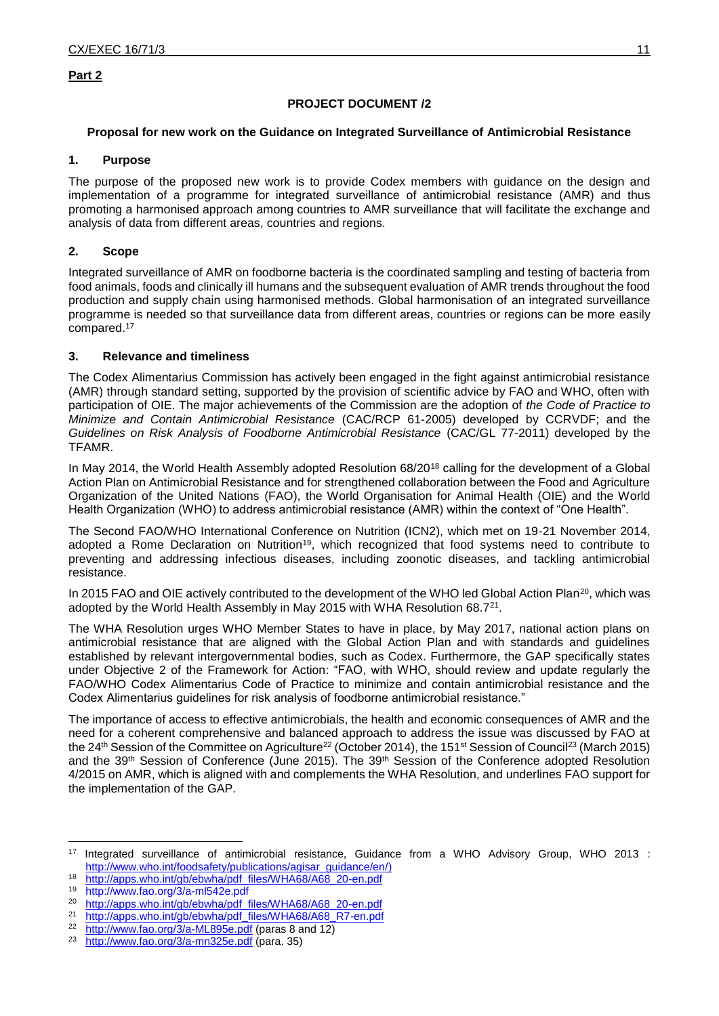### **Part 2**

### **PROJECT DOCUMENT /2**

#### **Proposal for new work on the Guidance on Integrated Surveillance of Antimicrobial Resistance**

#### **1. Purpose**

The purpose of the proposed new work is to provide Codex members with guidance on the design and implementation of a programme for integrated surveillance of antimicrobial resistance (AMR) and thus promoting a harmonised approach among countries to AMR surveillance that will facilitate the exchange and analysis of data from different areas, countries and regions.

### **2. Scope**

Integrated surveillance of AMR on foodborne bacteria is the coordinated sampling and testing of bacteria from food animals, foods and clinically ill humans and the subsequent evaluation of AMR trends throughout the food production and supply chain using harmonised methods. Global harmonisation of an integrated surveillance programme is needed so that surveillance data from different areas, countries or regions can be more easily compared. 17

#### **3. Relevance and timeliness**

The Codex Alimentarius Commission has actively been engaged in the fight against antimicrobial resistance (AMR) through standard setting, supported by the provision of scientific advice by FAO and WHO, often with participation of OIE. The major achievements of the Commission are the adoption of *the Code of Practice to Minimize and Contain Antimicrobial Resistance* (CAC/RCP 61-2005) developed by CCRVDF; and the *Guidelines on Risk Analysis of Foodborne Antimicrobial Resistance* (CAC/GL 77-2011) developed by the TFAMR.

In May 2014, the World Health Assembly adopted Resolution 68/20<sup>18</sup> calling for the development of a Global Action Plan on Antimicrobial Resistance and for strengthened collaboration between the Food and Agriculture Organization of the United Nations (FAO), the World Organisation for Animal Health (OIE) and the World Health Organization (WHO) to address antimicrobial resistance (AMR) within the context of "One Health".

The Second FAO/WHO International Conference on Nutrition (ICN2), which met on 19-21 November 2014, adopted a Rome Declaration on Nutrition<sup>19</sup>, which recognized that food systems need to contribute to preventing and addressing infectious diseases, including zoonotic diseases, and tackling antimicrobial resistance.

In 2015 FAO and OIE actively contributed to the development of the WHO led Global Action Plan<sup>20</sup>, which was adopted by the World Health Assembly in May 2015 with WHA Resolution 68.7<sup>21</sup>.

The WHA Resolution urges WHO Member States to have in place, by May 2017, national action plans on antimicrobial resistance that are aligned with the Global Action Plan and with standards and guidelines established by relevant intergovernmental bodies, such as Codex. Furthermore, the GAP specifically states under Objective 2 of the Framework for Action: "FAO, with WHO, should review and update regularly the FAO/WHO Codex Alimentarius Code of Practice to minimize and contain antimicrobial resistance and the Codex Alimentarius guidelines for risk analysis of foodborne antimicrobial resistance."

The importance of access to effective antimicrobials, the health and economic consequences of AMR and the need for a coherent comprehensive and balanced approach to address the issue was discussed by FAO at the 24<sup>th</sup> Session of the Committee on Agriculture<sup>22</sup> (October 2014), the 151<sup>st</sup> Session of Council<sup>23</sup> (March 2015) and the 39<sup>th</sup> Session of Conference (June 2015). The 39<sup>th</sup> Session of the Conference adopted Resolution 4/2015 on AMR, which is aligned with and complements the WHA Resolution, and underlines FAO support for the implementation of the GAP.

1

<sup>17</sup> Integrated surveillance of antimicrobial resistance, Guidance from a WHO Advisory Group, WHO 2013 : [http://www.who.int/foodsafety/publications/agisar\\_guidance/en/\)](http://www.who.int/foodsafety/publications/agisar_guidance/en/)

<sup>18</sup> [http://apps.who.int/gb/ebwha/pdf\\_files/WHA68/A68\\_20-en.pdf](http://apps.who.int/gb/ebwha/pdf_files/WHA68/A68_20-en.pdf)<br>19 http://www.foe.org/2/e.ml542e.ndf

<sup>19</sup> <http://www.fao.org/3/a-ml542e.pdf>

<sup>&</sup>lt;sup>20</sup> [http://apps.who.int/gb/ebwha/pdf\\_files/WHA68/A68\\_20-en.pdf](http://apps.who.int/gb/ebwha/pdf_files/WHA68/A68_20-en.pdf)<br><sup>21</sup> http://apps.who.int/gb/chwha/pdf\_files/MHA68/A68\_BZ\_op.pdf

<sup>&</sup>lt;sup>21</sup> [http://apps.who.int/gb/ebwha/pdf\\_files/WHA68/A68\\_R7-en.pdf](http://apps.who.int/gb/ebwha/pdf_files/WHA68/A68_R7-en.pdf)<br><sup>22</sup> http://www.fpe.org/2/p\_ML895e.pdf (paras 8, and 12)

<http://www.fao.org/3/a-ML895e.pdf> (paras 8 and 12)

<sup>23</sup> <http://www.fao.org/3/a-mn325e.pdf> (para. 35)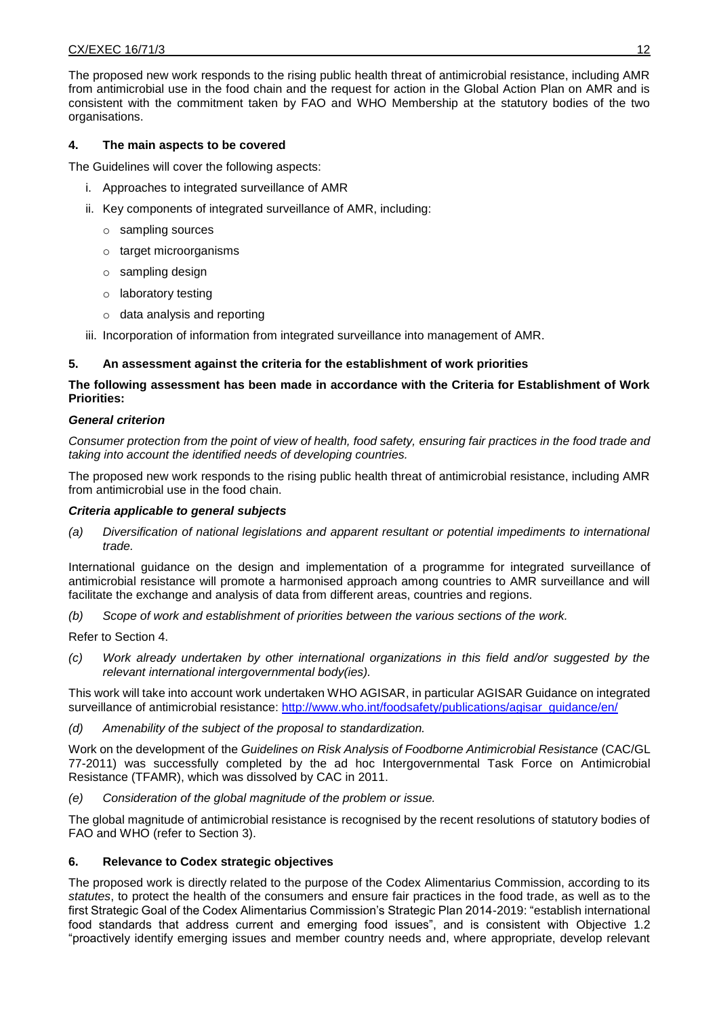#### CX/EXEC 16/71/3 12

The proposed new work responds to the rising public health threat of antimicrobial resistance, including AMR from antimicrobial use in the food chain and the request for action in the Global Action Plan on AMR and is consistent with the commitment taken by FAO and WHO Membership at the statutory bodies of the two organisations.

# **4. The main aspects to be covered**

The Guidelines will cover the following aspects:

- i. Approaches to integrated surveillance of AMR
- ii. Key components of integrated surveillance of AMR, including:
	- o sampling sources
	- o target microorganisms
	- $\circ$  sampling design
	- o laboratory testing
	- o data analysis and reporting
- iii. Incorporation of information from integrated surveillance into management of AMR.

### **5. An assessment against the criteria for the establishment of work priorities**

# **The following assessment has been made in accordance with the Criteria for Establishment of Work Priorities:**

#### *General criterion*

*Consumer protection from the point of view of health, food safety, ensuring fair practices in the food trade and taking into account the identified needs of developing countries.*

The proposed new work responds to the rising public health threat of antimicrobial resistance, including AMR from antimicrobial use in the food chain.

### *Criteria applicable to general subjects*

*(a) Diversification of national legislations and apparent resultant or potential impediments to international trade.*

International guidance on the design and implementation of a programme for integrated surveillance of antimicrobial resistance will promote a harmonised approach among countries to AMR surveillance and will facilitate the exchange and analysis of data from different areas, countries and regions.

*(b) Scope of work and establishment of priorities between the various sections of the work.*

Refer to Section 4.

*(c) Work already undertaken by other international organizations in this field and/or suggested by the relevant international intergovernmental body(ies).*

This work will take into account work undertaken WHO AGISAR, in particular AGISAR Guidance on integrated surveillance of antimicrobial resistance: [http://www.who.int/foodsafety/publications/agisar\\_guidance/en/](http://www.who.int/foodsafety/publications/agisar_guidance/en/)

*(d) Amenability of the subject of the proposal to standardization.*

Work on the development of the *Guidelines on Risk Analysis of Foodborne Antimicrobial Resistance* (CAC/GL 77-2011) was successfully completed by the ad hoc Intergovernmental Task Force on Antimicrobial Resistance (TFAMR), which was dissolved by CAC in 2011.

*(e) Consideration of the global magnitude of the problem or issue.*

The global magnitude of antimicrobial resistance is recognised by the recent resolutions of statutory bodies of FAO and WHO (refer to Section 3).

### **6. Relevance to Codex strategic objectives**

The proposed work is directly related to the purpose of the Codex Alimentarius Commission, according to its *statutes*, to protect the health of the consumers and ensure fair practices in the food trade, as well as to the first Strategic Goal of the Codex Alimentarius Commission's Strategic Plan 2014-2019: "establish international food standards that address current and emerging food issues", and is consistent with Objective 1.2 "proactively identify emerging issues and member country needs and, where appropriate, develop relevant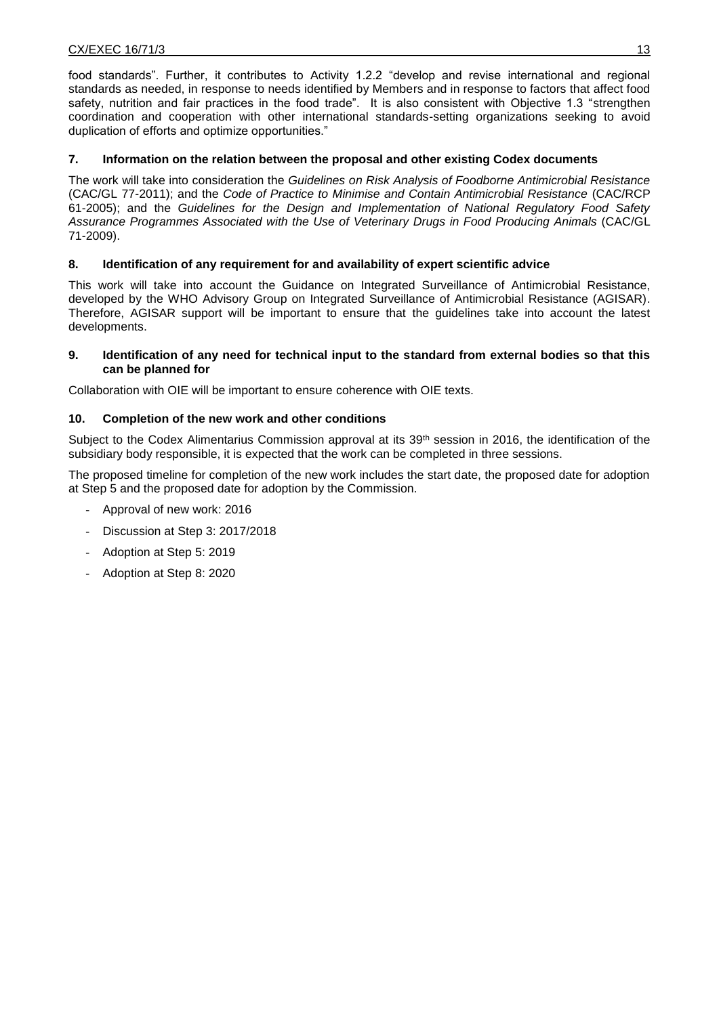food standards". Further, it contributes to Activity 1.2.2 "develop and revise international and regional standards as needed, in response to needs identified by Members and in response to factors that affect food safety, nutrition and fair practices in the food trade". It is also consistent with Objective 1.3 "strengthen coordination and cooperation with other international standards-setting organizations seeking to avoid duplication of efforts and optimize opportunities."

### **7. Information on the relation between the proposal and other existing Codex documents**

The work will take into consideration the *Guidelines on Risk Analysis of Foodborne Antimicrobial Resistance* (CAC/GL 77-2011); and the *Code of Practice to Minimise and Contain Antimicrobial Resistance* (CAC/RCP 61-2005); and the *Guidelines for the Design and Implementation of National Regulatory Food Safety Assurance Programmes Associated with the Use of Veterinary Drugs in Food Producing Animals* (CAC/GL 71-2009).

### **8. Identification of any requirement for and availability of expert scientific advice**

This work will take into account the Guidance on Integrated Surveillance of Antimicrobial Resistance, developed by the WHO Advisory Group on Integrated Surveillance of Antimicrobial Resistance (AGISAR). Therefore, AGISAR support will be important to ensure that the guidelines take into account the latest developments.

### **9. Identification of any need for technical input to the standard from external bodies so that this can be planned for**

Collaboration with OIE will be important to ensure coherence with OIE texts.

### **10. Completion of the new work and other conditions**

Subject to the Codex Alimentarius Commission approval at its 39<sup>th</sup> session in 2016, the identification of the subsidiary body responsible, it is expected that the work can be completed in three sessions.

The proposed timeline for completion of the new work includes the start date, the proposed date for adoption at Step 5 and the proposed date for adoption by the Commission.

- Approval of new work: 2016
- Discussion at Step 3: 2017/2018
- Adoption at Step 5: 2019
- Adoption at Step 8: 2020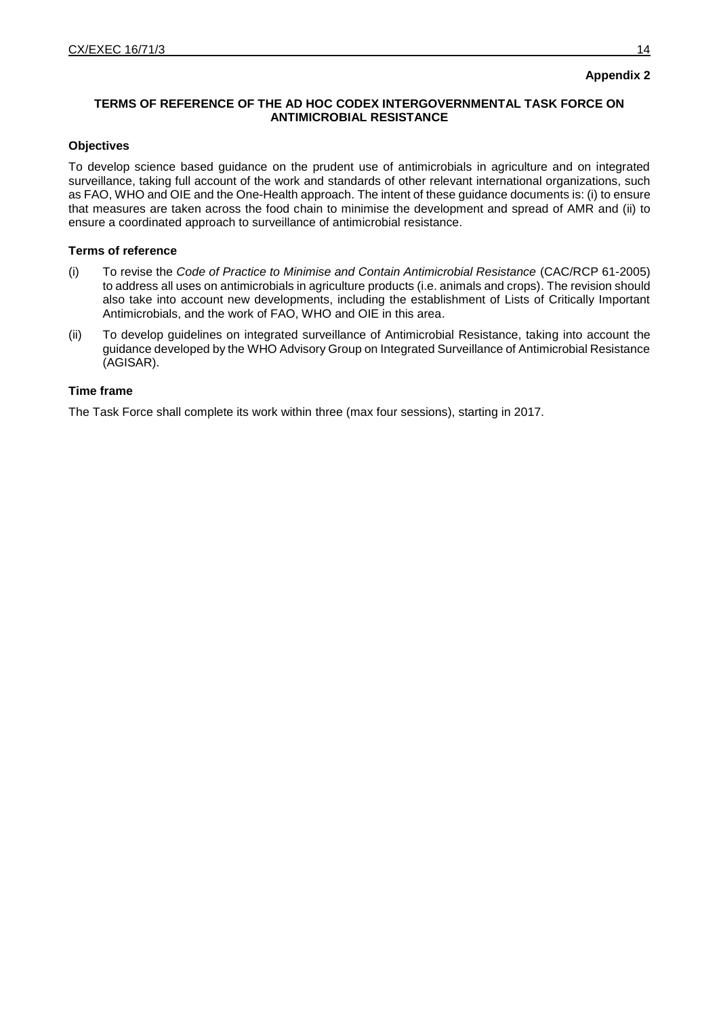# **Appendix 2**

# **TERMS OF REFERENCE OF THE AD HOC CODEX INTERGOVERNMENTAL TASK FORCE ON ANTIMICROBIAL RESISTANCE**

#### **Objectives**

To develop science based guidance on the prudent use of antimicrobials in agriculture and on integrated surveillance, taking full account of the work and standards of other relevant international organizations, such as FAO, WHO and OIE and the One-Health approach. The intent of these guidance documents is: (i) to ensure that measures are taken across the food chain to minimise the development and spread of AMR and (ii) to ensure a coordinated approach to surveillance of antimicrobial resistance.

#### **Terms of reference**

- (i) To revise the *Code of Practice to Minimise and Contain Antimicrobial Resistance* (CAC/RCP 61-2005) to address all uses on antimicrobials in agriculture products (i.e. animals and crops). The revision should also take into account new developments, including the establishment of Lists of Critically Important Antimicrobials, and the work of FAO, WHO and OIE in this area.
- (ii) To develop guidelines on integrated surveillance of Antimicrobial Resistance, taking into account the guidance developed by the WHO Advisory Group on Integrated Surveillance of Antimicrobial Resistance (AGISAR).

# **Time frame**

The Task Force shall complete its work within three (max four sessions), starting in 2017.